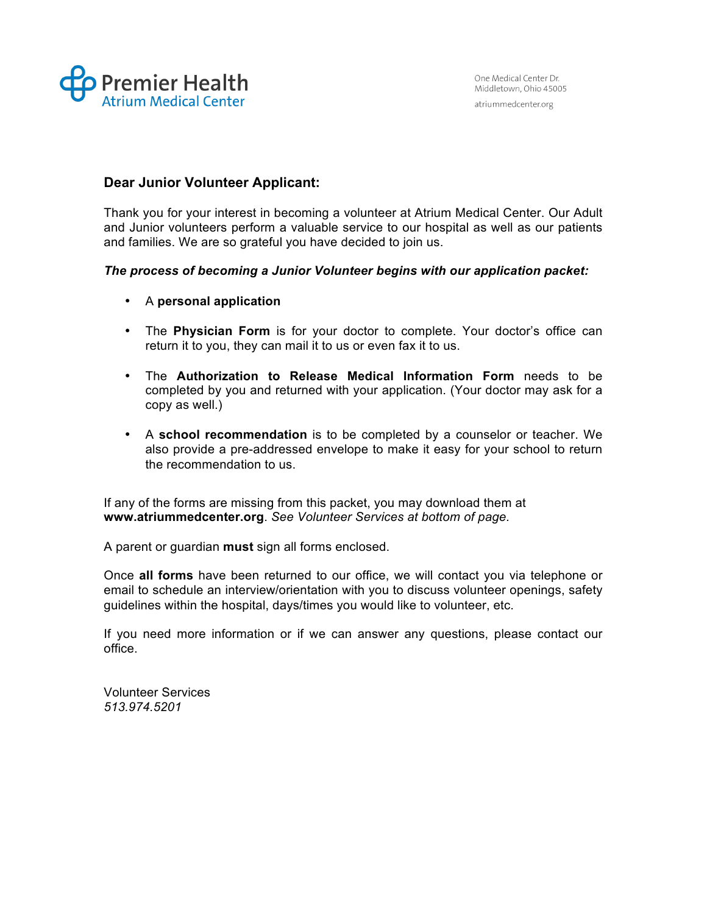

# **Dear Junior Volunteer Applicant:**

Thank you for your interest in becoming a volunteer at Atrium Medical Center. Our Adult and Junior volunteers perform a valuable service to our hospital as well as our patients and families. We are so grateful you have decided to join us.

#### *The process of becoming a Junior Volunteer begins with our application packet:*

- A **personal application**
- The **Physician Form** is for your doctor to complete. Your doctor's office can return it to you, they can mail it to us or even fax it to us.
- The **Authorization to Release Medical Information Form** needs to be completed by you and returned with your application. (Your doctor may ask for a copy as well.)
- A **school recommendation** is to be completed by a counselor or teacher. We also provide a pre-addressed envelope to make it easy for your school to return the recommendation to us.

If any of the forms are missing from this packet, you may download them at **www.atriummedcenter.org**. *See Volunteer Services at bottom of page.*

A parent or guardian **must** sign all forms enclosed.

Once **all forms** have been returned to our office, we will contact you via telephone or email to schedule an interview/orientation with you to discuss volunteer openings, safety guidelines within the hospital, days/times you would like to volunteer, etc.

If you need more information or if we can answer any questions, please contact our office.

Volunteer Services *513.974.5201*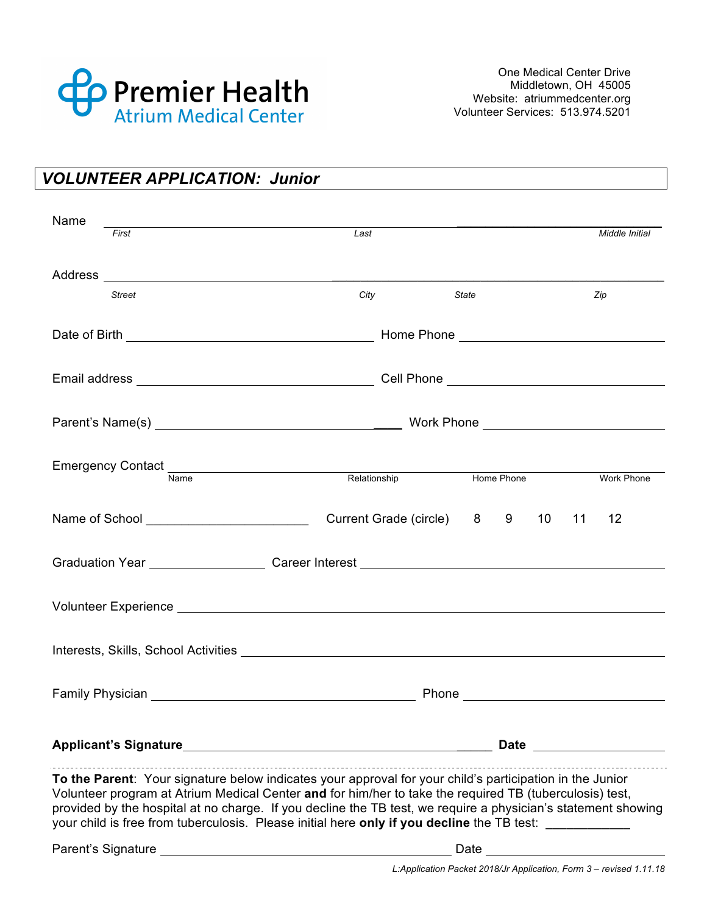

| <b>VOLUNTEER APPLICATION: Junior</b> |
|--------------------------------------|
|--------------------------------------|

| Name | First         | Last                                                                                                                                                                                                                                                                                                                                                                                                                               |                                                                                                                                                                                                                                | Middle Initial    |
|------|---------------|------------------------------------------------------------------------------------------------------------------------------------------------------------------------------------------------------------------------------------------------------------------------------------------------------------------------------------------------------------------------------------------------------------------------------------|--------------------------------------------------------------------------------------------------------------------------------------------------------------------------------------------------------------------------------|-------------------|
|      |               |                                                                                                                                                                                                                                                                                                                                                                                                                                    |                                                                                                                                                                                                                                |                   |
|      |               |                                                                                                                                                                                                                                                                                                                                                                                                                                    |                                                                                                                                                                                                                                |                   |
|      | <b>Street</b> | City                                                                                                                                                                                                                                                                                                                                                                                                                               | <b>State</b>                                                                                                                                                                                                                   | Zip               |
|      |               |                                                                                                                                                                                                                                                                                                                                                                                                                                    |                                                                                                                                                                                                                                |                   |
|      |               |                                                                                                                                                                                                                                                                                                                                                                                                                                    |                                                                                                                                                                                                                                |                   |
|      |               |                                                                                                                                                                                                                                                                                                                                                                                                                                    |                                                                                                                                                                                                                                |                   |
|      | Name          | Relationship                                                                                                                                                                                                                                                                                                                                                                                                                       | Home Phone                                                                                                                                                                                                                     | <b>Work Phone</b> |
|      |               |                                                                                                                                                                                                                                                                                                                                                                                                                                    |                                                                                                                                                                                                                                |                   |
|      |               | Current Grade (circle) 8 9                                                                                                                                                                                                                                                                                                                                                                                                         | 11<br>10                                                                                                                                                                                                                       | 12                |
|      |               |                                                                                                                                                                                                                                                                                                                                                                                                                                    |                                                                                                                                                                                                                                |                   |
|      |               |                                                                                                                                                                                                                                                                                                                                                                                                                                    |                                                                                                                                                                                                                                |                   |
|      |               | Interests, Skills, School Activities <b>Activities</b> Activities <b>Activities</b> Activities and Activities <b>Activities</b> Activities <b>Activities</b> Activities <b>Activities</b> Activities <b>Activities</b> Activities <b>Activities</b> Activities <b>A</b>                                                                                                                                                            |                                                                                                                                                                                                                                |                   |
|      |               |                                                                                                                                                                                                                                                                                                                                                                                                                                    | Phone experience and the set of the set of the set of the set of the set of the set of the set of the set of the set of the set of the set of the set of the set of the set of the set of the set of the set of the set of the |                   |
|      |               | Applicant's Signature and the state of the state of the state of the state of the state of the state of the state of the state of the state of the state of the state of the state of the state of the state of the state of t                                                                                                                                                                                                     | Date and the state of the state of the state of the state of the state of the state of the state of the state                                                                                                                  |                   |
|      |               | To the Parent: Your signature below indicates your approval for your child's participation in the Junior<br>Volunteer program at Atrium Medical Center and for him/her to take the required TB (tuberculosis) test,<br>provided by the hospital at no charge. If you decline the TB test, we require a physician's statement showing<br>your child is free from tuberculosis. Please initial here only if you decline the TB test: |                                                                                                                                                                                                                                |                   |
|      |               |                                                                                                                                                                                                                                                                                                                                                                                                                                    | Date                                                                                                                                                                                                                           |                   |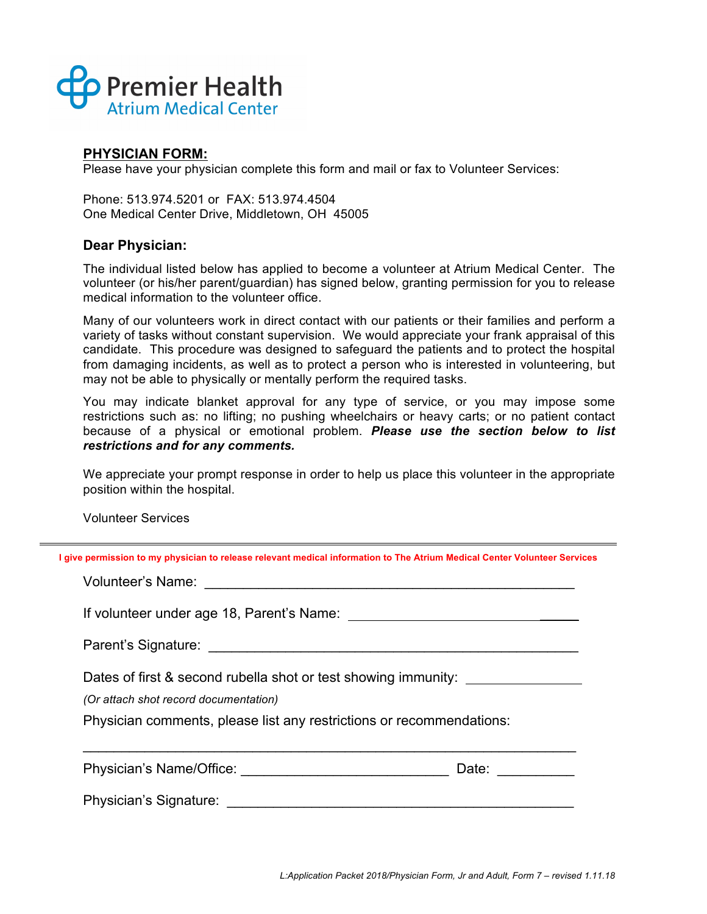

## **PHYSICIAN FORM:**

Please have your physician complete this form and mail or fax to Volunteer Services:

Phone: 513.974.5201 or FAX: 513.974.4504 One Medical Center Drive, Middletown, OH 45005

## **Dear Physician:**

The individual listed below has applied to become a volunteer at Atrium Medical Center. The volunteer (or his/her parent/guardian) has signed below, granting permission for you to release medical information to the volunteer office.

Many of our volunteers work in direct contact with our patients or their families and perform a variety of tasks without constant supervision. We would appreciate your frank appraisal of this candidate. This procedure was designed to safeguard the patients and to protect the hospital from damaging incidents, as well as to protect a person who is interested in volunteering, but may not be able to physically or mentally perform the required tasks.

You may indicate blanket approval for any type of service, or you may impose some restrictions such as: no lifting; no pushing wheelchairs or heavy carts; or no patient contact because of a physical or emotional problem. *Please use the section below to list restrictions and for any comments.*

We appreciate your prompt response in order to help us place this volunteer in the appropriate position within the hospital.

Volunteer Services

**I give permission to my physician to release relevant medical information to The Atrium Medical Center Volunteer Services**

Volunteer's Name: **Washington** and the contract of the contract of the contract of the contract of the contract of the contract of the contract of the contract of the contract of the contract of the contract of the contrac

If volunteer under age 18, Parent's Name:  $\blacksquare$ 

Parent's Signature: **Example 2018** 

Dates of first & second rubella shot or test showing immunity:

*(Or attach shot record documentation)*

Physician comments, please list any restrictions or recommendations:

 $\mathcal{L}_\text{max} = \mathcal{L}_\text{max} = \mathcal{L}_\text{max} = \mathcal{L}_\text{max} = \mathcal{L}_\text{max} = \mathcal{L}_\text{max} = \mathcal{L}_\text{max} = \mathcal{L}_\text{max} = \mathcal{L}_\text{max} = \mathcal{L}_\text{max} = \mathcal{L}_\text{max} = \mathcal{L}_\text{max} = \mathcal{L}_\text{max} = \mathcal{L}_\text{max} = \mathcal{L}_\text{max} = \mathcal{L}_\text{max} = \mathcal{L}_\text{max} = \mathcal{L}_\text{max} = \mathcal{$ 

Physician's Name/Office: \_\_\_\_\_\_\_\_\_\_\_\_\_\_\_\_\_\_\_\_\_\_\_\_\_\_\_ Date: \_\_\_\_\_\_\_\_\_\_

Physician's Signature: **Example 2018**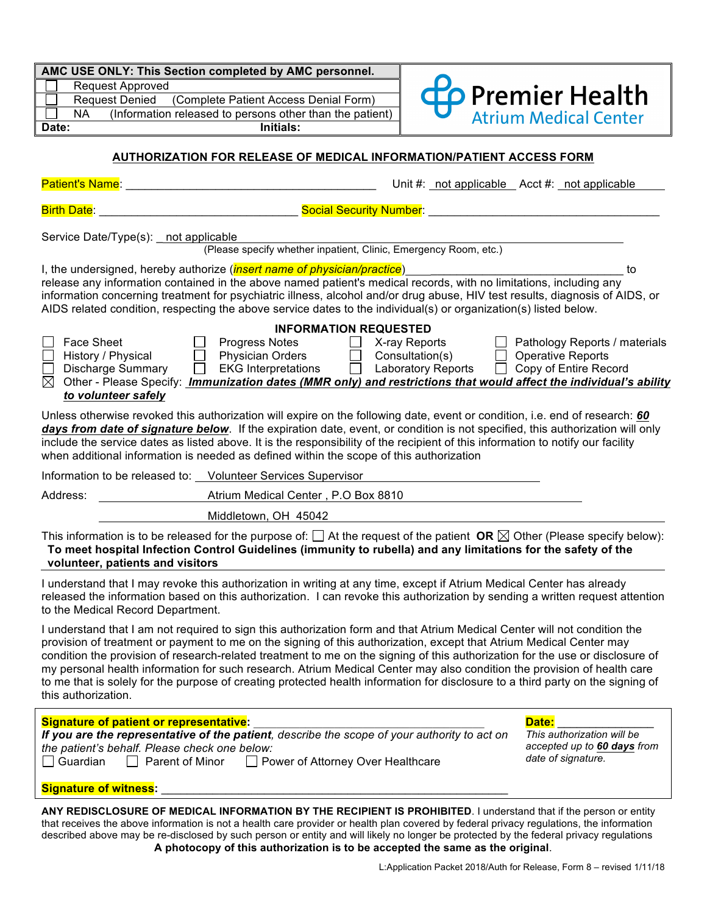| AMC USE ONLY: This Section completed by AMC personnel. |  |
|--------------------------------------------------------|--|
| <b>Dequast Approved</b>                                |  |

Request Approve Request Denied (Complete Patient Access Denial Form) NA (Information released to persons other than the patient) **Date: Initials:**



#### **AUTHORIZATION FOR RELEASE OF MEDICAL INFORMATION/PATIENT ACCESS FORM**

Patient's Name: \_\_\_\_\_\_\_\_\_\_\_\_\_\_\_\_\_\_\_\_\_\_\_\_\_\_\_\_\_\_\_\_\_\_\_\_\_\_\_ Unit #: not applicable Acct #: not applicable

| <b>Birth Date</b> |  |  |  |  |  |
|-------------------|--|--|--|--|--|
|-------------------|--|--|--|--|--|

Birth Date: Letter Date: Letter Date: Letter Date: Letter Date: Letter Date: Letter Date: Letter Date: Letter D

Service Date/Type(s): not applicable

(Please specify whether inpatient, Clinic, Emergency Room, etc.)

I, the undersigned, hereby authorize (*insert name of physician/practice*) \_\_\_\_\_\_\_\_\_\_\_\_\_\_\_\_\_\_\_\_\_\_\_\_\_\_\_\_\_\_ to release any information contained in the above named patient's medical records, with no limitations, including any information concerning treatment for psychiatric illness, alcohol and/or drug abuse, HIV test results, diagnosis of AIDS, or AIDS related condition, respecting the above service dates to the individual(s) or organization(s) listed below.

| <b>INFORMATION REQUESTED</b>                                                                                                  |  |  |  |  |  |  |  |  |
|-------------------------------------------------------------------------------------------------------------------------------|--|--|--|--|--|--|--|--|
| Pathology Reports / materials<br>Face Sheet<br>X-ray Reports<br><b>Progress Notes</b>                                         |  |  |  |  |  |  |  |  |
| <b>Operative Reports</b><br><b>Physician Orders</b><br>Consultation(s)<br>History / Physical                                  |  |  |  |  |  |  |  |  |
| Copy of Entire Record<br><b>Laboratory Reports</b><br><b>EKG Interpretations</b><br>$\perp$<br><b>Discharge Summary</b>       |  |  |  |  |  |  |  |  |
| $\boxtimes$ Other - Please Specify: Immunization dates (MMR only) and restrictions that would affect the individual's ability |  |  |  |  |  |  |  |  |
| to volunteer safely                                                                                                           |  |  |  |  |  |  |  |  |

Unless otherwise revoked this authorization will expire on the following date, event or condition, i.e. end of research: *60 days from date of signature below*. If the expiration date, event, or condition is not specified, this authorization will only include the service dates as listed above. It is the responsibility of the recipient of this information to notify our facility when additional information is needed as defined within the scope of this authorization

| Information to be released to: Volunteer Services Supervisor |                                      |  |
|--------------------------------------------------------------|--------------------------------------|--|
| Address:                                                     | Atrium Medical Center . P.O Box 8810 |  |
|                                                              | Middletown, OH 45042                 |  |

This information is to be released for the purpose of:  $\Box$  At the request of the patient **OR**  $\boxtimes$  Other (Please specify below): **To meet hospital Infection Control Guidelines (immunity to rubella) and any limitations for the safety of the volunteer, patients and visitors**

I understand that I may revoke this authorization in writing at any time, except if Atrium Medical Center has already released the information based on this authorization. I can revoke this authorization by sending a written request attention to the Medical Record Department.

I understand that I am not required to sign this authorization form and that Atrium Medical Center will not condition the provision of treatment or payment to me on the signing of this authorization, except that Atrium Medical Center may condition the provision of research-related treatment to me on the signing of this authorization for the use or disclosure of my personal health information for such research. Atrium Medical Center may also condition the provision of health care to me that is solely for the purpose of creating protected health information for disclosure to a third party on the signing of this authorization.

| <b>Signature of patient or representative:</b>                                                                                                                                                                    | Date:                                                                           |
|-------------------------------------------------------------------------------------------------------------------------------------------------------------------------------------------------------------------|---------------------------------------------------------------------------------|
| If you are the representative of the patient, describe the scope of your authority to act on<br>the patient's behalf. Please check one below:<br>□ Guardian □ Parent of Minor □ Power of Attorney Over Healthcare | This authorization will be<br>accepted up to 60 days from<br>date of signature. |
| <b>Signature of witness:</b>                                                                                                                                                                                      |                                                                                 |

**ANY REDISCLOSURE OF MEDICAL INFORMATION BY THE RECIPIENT IS PROHIBITED**. I understand that if the person or entity that receives the above information is not a health care provider or health plan covered by federal privacy regulations, the information described above may be re-disclosed by such person or entity and will likely no longer be protected by the federal privacy regulations **A photocopy of this authorization is to be accepted the same as the original**.